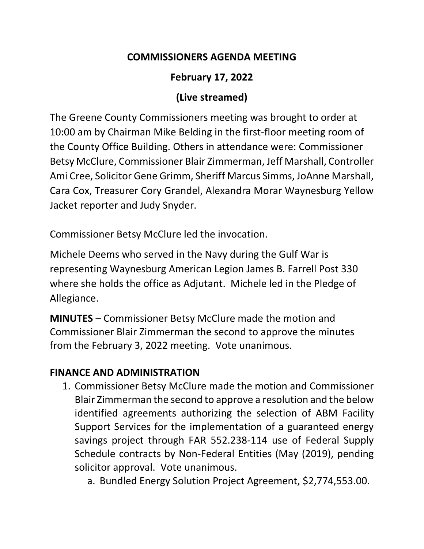## **COMMISSIONERS AGENDA MEETING**

# **February 17, 2022**

# **(Live streamed)**

The Greene County Commissioners meeting was brought to order at 10:00 am by Chairman Mike Belding in the first-floor meeting room of the County Office Building. Others in attendance were: Commissioner Betsy McClure, Commissioner Blair Zimmerman, Jeff Marshall, Controller Ami Cree, Solicitor Gene Grimm, Sheriff Marcus Simms, JoAnne Marshall, Cara Cox, Treasurer Cory Grandel, Alexandra Morar Waynesburg Yellow Jacket reporter and Judy Snyder.

Commissioner Betsy McClure led the invocation.

Michele Deems who served in the Navy during the Gulf War is representing Waynesburg American Legion James B. Farrell Post 330 where she holds the office as Adjutant. Michele led in the Pledge of Allegiance.

**MINUTES** – Commissioner Betsy McClure made the motion and Commissioner Blair Zimmerman the second to approve the minutes from the February 3, 2022 meeting. Vote unanimous.

# **FINANCE AND ADMINISTRATION**

- 1. Commissioner Betsy McClure made the motion and Commissioner Blair Zimmerman the second to approve a resolution and the below identified agreements authorizing the selection of ABM Facility Support Services for the implementation of a guaranteed energy savings project through FAR 552.238-114 use of Federal Supply Schedule contracts by Non-Federal Entities (May (2019), pending solicitor approval. Vote unanimous.
	- a. Bundled Energy Solution Project Agreement, \$2,774,553.00.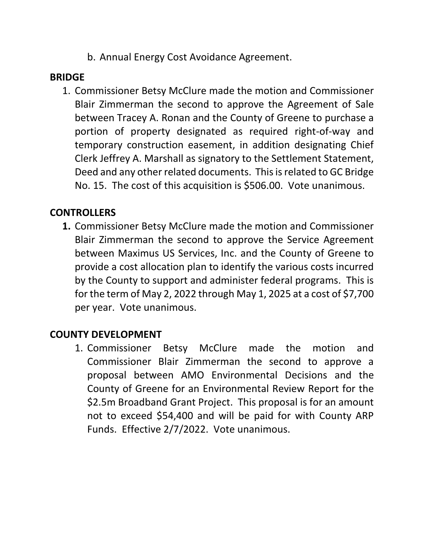b. Annual Energy Cost Avoidance Agreement.

### **BRIDGE**

1. Commissioner Betsy McClure made the motion and Commissioner Blair Zimmerman the second to approve the Agreement of Sale between Tracey A. Ronan and the County of Greene to purchase a portion of property designated as required right-of-way and temporary construction easement, in addition designating Chief Clerk Jeffrey A. Marshall as signatory to the Settlement Statement, Deed and any other related documents. This is related to GC Bridge No. 15. The cost of this acquisition is \$506.00. Vote unanimous.

## **CONTROLLERS**

**1.** Commissioner Betsy McClure made the motion and Commissioner Blair Zimmerman the second to approve the Service Agreement between Maximus US Services, Inc. and the County of Greene to provide a cost allocation plan to identify the various costs incurred by the County to support and administer federal programs. This is for the term of May 2, 2022 through May 1, 2025 at a cost of \$7,700 per year. Vote unanimous.

## **COUNTY DEVELOPMENT**

1. Commissioner Betsy McClure made the motion and Commissioner Blair Zimmerman the second to approve a proposal between AMO Environmental Decisions and the County of Greene for an Environmental Review Report for the \$2.5m Broadband Grant Project. This proposal is for an amount not to exceed \$54,400 and will be paid for with County ARP Funds. Effective 2/7/2022. Vote unanimous.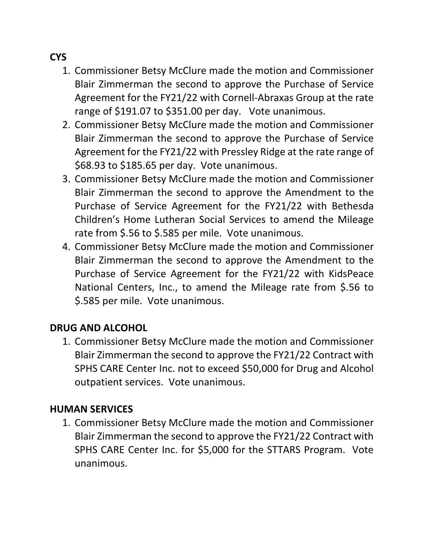# **CYS**

- 1. Commissioner Betsy McClure made the motion and Commissioner Blair Zimmerman the second to approve the Purchase of Service Agreement for the FY21/22 with Cornell-Abraxas Group at the rate range of \$191.07 to \$351.00 per day. Vote unanimous.
- 2. Commissioner Betsy McClure made the motion and Commissioner Blair Zimmerman the second to approve the Purchase of Service Agreement for the FY21/22 with Pressley Ridge at the rate range of \$68.93 to \$185.65 per day. Vote unanimous.
- 3. Commissioner Betsy McClure made the motion and Commissioner Blair Zimmerman the second to approve the Amendment to the Purchase of Service Agreement for the FY21/22 with Bethesda Children's Home Lutheran Social Services to amend the Mileage rate from \$.56 to \$.585 per mile. Vote unanimous.
- 4. Commissioner Betsy McClure made the motion and Commissioner Blair Zimmerman the second to approve the Amendment to the Purchase of Service Agreement for the FY21/22 with KidsPeace National Centers, Inc., to amend the Mileage rate from \$.56 to \$.585 per mile. Vote unanimous.

## **DRUG AND ALCOHOL**

1. Commissioner Betsy McClure made the motion and Commissioner Blair Zimmerman the second to approve the FY21/22 Contract with SPHS CARE Center Inc. not to exceed \$50,000 for Drug and Alcohol outpatient services. Vote unanimous.

## **HUMAN SERVICES**

1. Commissioner Betsy McClure made the motion and Commissioner Blair Zimmerman the second to approve the FY21/22 Contract with SPHS CARE Center Inc. for \$5,000 for the STTARS Program. Vote unanimous.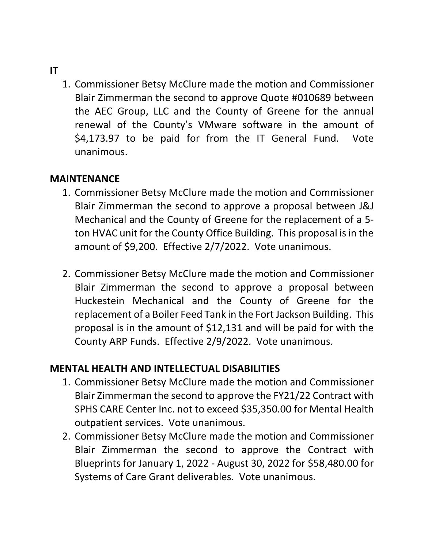#### **IT**

1. Commissioner Betsy McClure made the motion and Commissioner Blair Zimmerman the second to approve Quote #010689 between the AEC Group, LLC and the County of Greene for the annual renewal of the County's VMware software in the amount of \$4,173.97 to be paid for from the IT General Fund. Vote unanimous.

### **MAINTENANCE**

- 1. Commissioner Betsy McClure made the motion and Commissioner Blair Zimmerman the second to approve a proposal between J&J Mechanical and the County of Greene for the replacement of a 5 ton HVAC unit for the County Office Building. This proposal is in the amount of \$9,200. Effective 2/7/2022. Vote unanimous.
- 2. Commissioner Betsy McClure made the motion and Commissioner Blair Zimmerman the second to approve a proposal between Huckestein Mechanical and the County of Greene for the replacement of a Boiler Feed Tank in the Fort Jackson Building. This proposal is in the amount of \$12,131 and will be paid for with the County ARP Funds. Effective 2/9/2022. Vote unanimous.

### **MENTAL HEALTH AND INTELLECTUAL DISABILITIES**

- 1. Commissioner Betsy McClure made the motion and Commissioner Blair Zimmerman the second to approve the FY21/22 Contract with SPHS CARE Center Inc. not to exceed \$35,350.00 for Mental Health outpatient services. Vote unanimous.
- 2. Commissioner Betsy McClure made the motion and Commissioner Blair Zimmerman the second to approve the Contract with Blueprints for January 1, 2022 - August 30, 2022 for \$58,480.00 for Systems of Care Grant deliverables. Vote unanimous.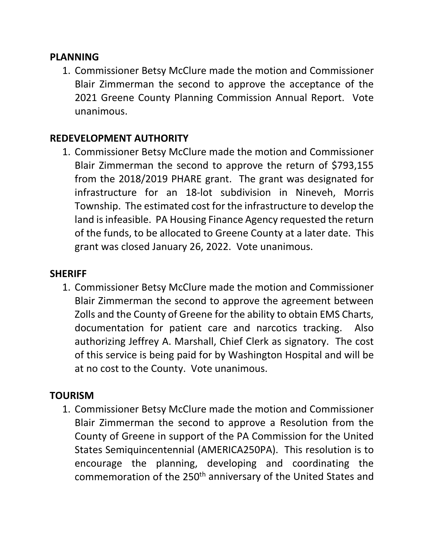#### **PLANNING**

1. Commissioner Betsy McClure made the motion and Commissioner Blair Zimmerman the second to approve the acceptance of the 2021 Greene County Planning Commission Annual Report. Vote unanimous.

## **REDEVELOPMENT AUTHORITY**

1. Commissioner Betsy McClure made the motion and Commissioner Blair Zimmerman the second to approve the return of \$793,155 from the 2018/2019 PHARE grant. The grant was designated for infrastructure for an 18-lot subdivision in Nineveh, Morris Township. The estimated cost for the infrastructure to develop the land is infeasible. PA Housing Finance Agency requested the return of the funds, to be allocated to Greene County at a later date. This grant was closed January 26, 2022. Vote unanimous.

### **SHERIFF**

1. Commissioner Betsy McClure made the motion and Commissioner Blair Zimmerman the second to approve the agreement between Zolls and the County of Greene for the ability to obtain EMS Charts, documentation for patient care and narcotics tracking. Also authorizing Jeffrey A. Marshall, Chief Clerk as signatory. The cost of this service is being paid for by Washington Hospital and will be at no cost to the County. Vote unanimous.

## **TOURISM**

1. Commissioner Betsy McClure made the motion and Commissioner Blair Zimmerman the second to approve a Resolution from the County of Greene in support of the PA Commission for the United States Semiquincentennial (AMERICA250PA). This resolution is to encourage the planning, developing and coordinating the commemoration of the 250<sup>th</sup> anniversary of the United States and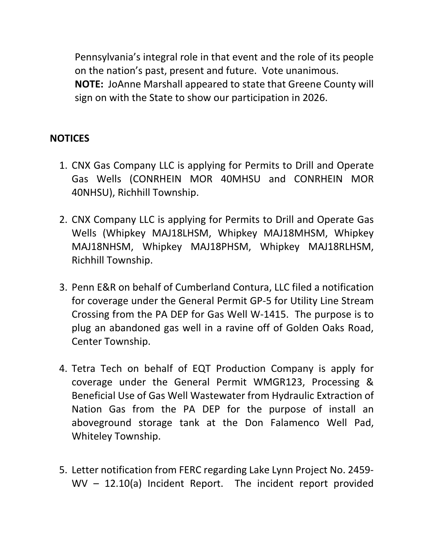Pennsylvania's integral role in that event and the role of its people on the nation's past, present and future. Vote unanimous. **NOTE:** JoAnne Marshall appeared to state that Greene County will sign on with the State to show our participation in 2026.

### **NOTICES**

- 1. CNX Gas Company LLC is applying for Permits to Drill and Operate Gas Wells (CONRHEIN MOR 40MHSU and CONRHEIN MOR 40NHSU), Richhill Township.
- 2. CNX Company LLC is applying for Permits to Drill and Operate Gas Wells (Whipkey MAJ18LHSM, Whipkey MAJ18MHSM, Whipkey MAJ18NHSM, Whipkey MAJ18PHSM, Whipkey MAJ18RLHSM, Richhill Township.
- 3. Penn E&R on behalf of Cumberland Contura, LLC filed a notification for coverage under the General Permit GP-5 for Utility Line Stream Crossing from the PA DEP for Gas Well W-1415. The purpose is to plug an abandoned gas well in a ravine off of Golden Oaks Road, Center Township.
- 4. Tetra Tech on behalf of EQT Production Company is apply for coverage under the General Permit WMGR123, Processing & Beneficial Use of Gas Well Wastewater from Hydraulic Extraction of Nation Gas from the PA DEP for the purpose of install an aboveground storage tank at the Don Falamenco Well Pad, Whiteley Township.
- 5. Letter notification from FERC regarding Lake Lynn Project No. 2459- WV – 12.10(a) Incident Report. The incident report provided